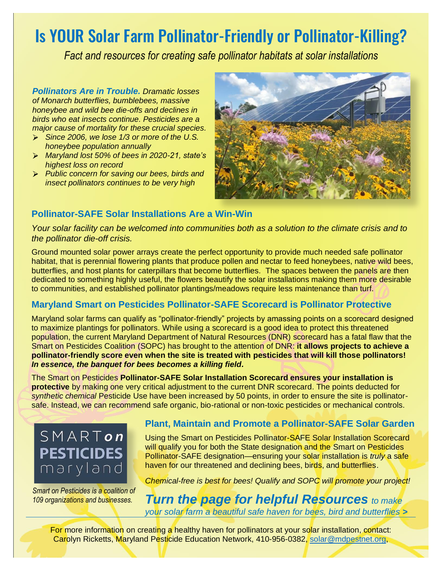# Is YOUR Solar Farm Pollinator-Friendly or Pollinator-Killing?

*Fact and resources for creating safe pollinator habitats at solar installations*

*Pollinators Are in Trouble. Dramatic losses of Monarch butterflies, bumblebees, massive honeybee and wild bee die-offs and declines in birds who eat insects continue. Pesticides are a major cause of mortality for these crucial species.* 

- *Since 2006, we lose 1/3 or more of the U.S. honeybee population annually*
- *Maryland lost 50% of bees in 2020-21, state's highest loss on record*
- *Public concern for saving our bees, birds and insect pollinators continues to be very high*



## **Pollinator-SAFE Solar Installations Are a Win-Win**

*Your solar facility can be welcomed into communities both as a solution to the climate crisis and to the pollinator die-off crisis.* 

Ground mounted solar power arrays create the perfect opportunity to provide much needed safe pollinator habitat, that is perennial flowering plants that produce pollen and nectar to feed honeybees, native wild bees, butterflies, and host plants for caterpillars that become butterflies. The spaces between the panels are then dedicated to something highly useful, the flowers beautify the solar installations making them more desirable to communities, and established pollinator plantings/meadows require less maintenance than turf.

## **Maryland Smart on Pesticides Pollinator-SAFE Scorecard is Pollinator Protective**

Maryland solar farms can qualify as "pollinator-friendly" projects by amassing points on a scorecard designed to maximize plantings for pollinators. While using a scorecard is a good idea to protect this threatened population, the current Maryland Department of Natural Resources (DNR) scorecard has a fatal flaw that the Smart on Pesticides Coalition (SOPC) has brought to the attention of DNR: **it allows projects to achieve a pollinator-friendly score even when the site is treated with pesticides that will kill those pollinators!** *In essence, the banquet for bees becomes a killing field.*

The Smart on Pesticides **Pollinator-SAFE Solar Installation Scorecard ensures your installation is protective** by making one very critical adjustment to the current DNR scorecard. The points deducted for *synthetic chemical* Pesticide Use have been increased by 50 points, in order to ensure the site is pollinatorsafe. Instead, we can recommend safe organic, bio-rational or non-toxic pesticides or mechanical controls.



*Smart on Pesticides is a coalition of 109 organizations and businesses.*

## **Plant, Maintain and Promote a Pollinator-SAFE Solar Garden**

Using the Smart on Pesticides Pollinator-SAFE Solar Installation Scorecard will qualify you for both the State designation and the Smart on Pesticides Pollinator-SAFE designation—ensuring your solar installation is *truly* a safe haven for our threatened and declining bees, birds, and butterflies.

*Chemical-free is best for bees! Qualify and SOPC will promote your project!* 

*Turn the page for helpful Resources to make your solar farm a beautiful safe haven for bees, bird and butterflies >*

For more information on creating a healthy haven for pollinators at your solar installation, contact: Carolyn Ricketts, Maryland Pesticide Education Network, 410-956-0382, [solar@mdpestnet.org,](mailto:solar@mdpestnet.org)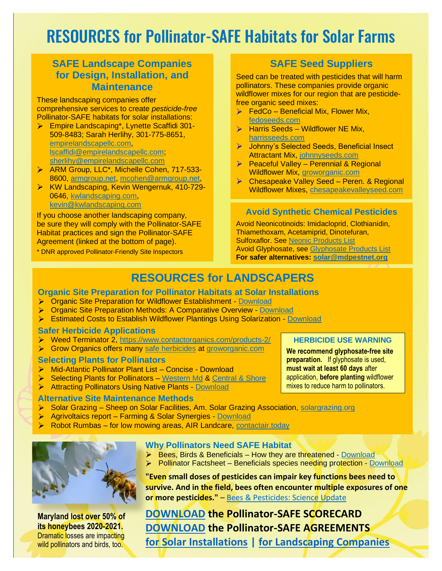# RESOURCES for Pollinator-SAFE Habitats for Solar Farms

## **SAFE Landscape Companies for Design, Installation, and Maintenance**

These landscaping companies offer comprehensive services to create *pesticide-free* Pollinator-SAFE habitats for solar installations:

- Empire Landscaping\*, Lynette Scaffidi 301- 509-8483; Sarah Herlihy, 301-775-8651, [empirelandscapellc.com,](http://empirelandscapellc.com/) [lscaffidi@empirelandscapellc.com;](mailto:lscaffidi@empirelandscapellc.com) [sherlihy@empirelandscapellc.com](mailto:sherlihy@empirelandscapellc.com)
- > ARM Group, LLC\*, Michelle Cohen, 717-533-8600, [armgroup.net,](http://www.armgroup.net/) [mcohen@armgroup.net,](mailto:mcohen@armgroup.net)
- **EXA:** KW Landscaping, Kevin Wengernuk, 410-729-0646, [kwlandscaping.com,](http://www.kwlandscaping.com/) [kevin@kwlandscaping.com](mailto:kevin@kwlandscaping.com)

If you choose another landscaping company, be sure they will comply with the Pollinator-SAFE Habitat practices and sign the Pollinator-SAFE Agreement (linked at the bottom of page).

\* DNR approved Pollinator-Friendly Site Inspectors

## **SAFE Seed Suppliers**

Seed can be treated with pesticides that will harm pollinators. These companies provide organic wildflower mixes for our region that are pesticidefree organic seed mixes:

- $\triangleright$  FedCo Beneficial Mix, Flower Mix, [fedoseeds.com](https://www.fedcoseeds.com/)
- $\triangleright$  Harris Seeds Wildflower NE Mix. [harrisseeds.com](https://www.fedcoseeds.com/)
- ▶ Johnny's Selected Seeds, Beneficial Insect Attractant Mix, [johnnyseeds.com](https://www.johnnyseeds.com/)
- Peaceful Valley Perennial & Regional Wildflower Mix, [groworganic.com](http://www.groworganic.com/)
- **Example Chesapeake Valley Seed Peren. & Regional** [Wildflower Mixes,](https://www.fedcoseeds.com/) [chesapeakevalleyseed.com](http://www.chesapeakevalleyseed.com/)

#### **Avoid Synthetic Chemical Pesticides**

Avoid Neonicotinoids: Imidacloprid, Clothianidin, Thiamethoxam, Acetamiprid, Dinotefuran, Sulfoxaflor. See [Neonic Products](https://mdpestnet.org/neonicotinoid-products-to-avoid/) List Avoid Glyphosate, see [Glyphosate Products](https://mdpestnet.org/glyphosate-products-to-avoid/) List **For safer alternatives: [solar@mdpestnet.org](mailto:solar@mdpestnet.org)**

## **RESOURCES for LANDSCAPERS**

#### **Organic Site Preparation for Pollinator Habitats at Solar Installations**

- Organic Site Preparation for Wildflower Establishment [Download](https://xerces.org/publications/guidelines/organic-site-preparation-for-wildflower-establishment)
- Organic Site Preparation Methods: A Comparative Overview [Download](https://www.xerces.org/publications/fact-sheets/organic-site-preparation-methods-comparative-overview)
- Estimated Costs to Establish Wildflower Plantings Using Solarization [Download](https://xerces.org/publications/fact-sheets/estimated-costs-to-establish-wildflower-plantings-using-solarization)

#### **Safer Herbicide Applications**

- ▶ Weed Terminator 2,<https://www.contactorganics.com/products-2/>
- S Grow Organics offers many [safe herbicides](https://www.groworganic.com/collections/organic-herbicides?_pos=1&_psq=organic%20herbi&_ss=e&_v=1.0) [at groworganic.com](https://www.groworganic.com/)

#### **Selecting Plants for Pollinators**

- Mid-Atlantic Pollinator Plant List Concise Download
- $\blacktriangleright$ Selecting Plants for Pollinators – [Western Md](https://www.pollinator.org/pollinator.org/assets/generalFiles/CentralAppalachianrx7FINAL_170624_124216_1.pdf) & [Central & Shore](https://www.pollinator.org/PDFs/OuterCoastal.rx5.pdf)
- **Attracting Pollinators Using Native Plants [Download](https://www.fs.fed.us/wildflowers/pollinators/documents/AttractingPollinatorsV5.pdf)**

#### **Alternative Site Maintenance Methods**

- Solar Grazing Sheep on Solar Facilities, Am. Solar Grazing Association, [solargrazing.org](http://www.solargrazing.org/)
- Agrivoltaics report Farming & Solar Synergies [Download](https://ieer.org/wp/wp-content/uploads/2021/02/Agrivoltaics-report-Arjun-Makhijani-final-2021-02-08.pdf)
- Robot Rumbas for low mowing areas, AIR Landcare, [contactair.today](http://www.contactair.today/)



**Maryland lost over 50% of its honeybees 2020-2021.** Dramatic losses are impacting wild pollinators and birds, too.

#### **Why Pollinators Need SAFE Habitat**

- $\triangleright$  Bees, Birds & Beneficials How they are threatened [Download](https://www.beyondpesticides.org/assets/media/documents/infoservices/pesticidesandyou/documents/BeesBirdsBeneficials.pdf)
- Pollinator Factsheet Beneficials species needing protection [Download](https://1bps6437gg8c169i0y1drtgz-wpengine.netdna-ssl.com/wp-content/uploads/2017/11/FOE_PollinatorFactSheet_7.pdf)

**"Even small doses of pesticides can impair key functions bees need to survive. And in the field, bees often encounter multiple exposures of one or more pesticides."** – [Bees & Pesticides: Science Update](http://www.panna.org/sites/default/files/Bees-the-Science-IssueBrief-20160407.pdf)

**[DOWNLOAD](https://mdpestnet.org/pollinator-safe-solar-scorecard-v8-21/) the Pollinator-SAFE SCORECARD [DOWNLOAD](https://mdpestnet.org/pollinator-safe-agreements/) the Pollinator-SAFE AGREEMENTS [for Solar Installations](ttps://mdpestnet.org/mpen-safe-agreement-solar-company-v8-21/) | [for Landscaping Companies](https://mdpestnet.org/mpen-safe-agreement-landscapers-v8-21/)**

#### **HERBICIDE USE WARNING**

**We recommend glyphosate-free site preparation.** If glyphosate is used, **must wait at least 60 days** after application, **before planting** wildflower mixes to reduce harm to pollinators.